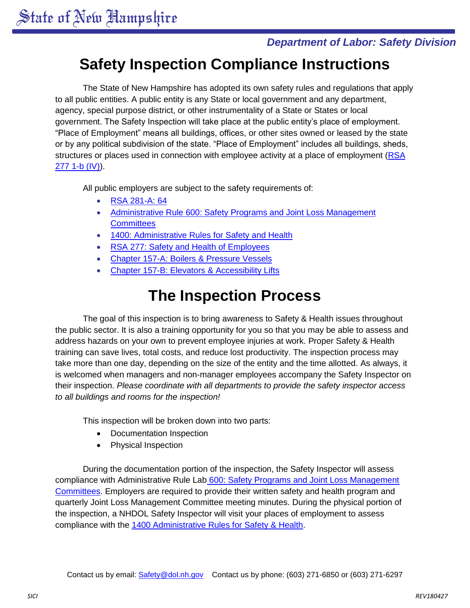### *Department of Labor: Safety Division*

## **Safety Inspection Compliance Instructions**

The State of New Hampshire has adopted its own safety rules and regulations that apply to all public entities. A public entity is any State or local government and any department, agency, special purpose district, or other instrumentality of a State or States or local government. The Safety Inspection will take place at the public entity's place of employment. "Place of Employment" means all buildings, offices, or other sites owned or leased by the state or by any political subdivision of the state. "Place of Employment" includes all buildings, sheds, structures or places used in connection with employee activity at a place of employment [\(RSA](http://www.gencourt.state.nh.us/rsa/html/XXIII/277/277-1-b.htm)  277 [1-b \(IV\)\)](http://www.gencourt.state.nh.us/rsa/html/XXIII/277/277-1-b.htm).

All public employers are subject to the safety requirements of:

- [RSA 281-A: 64](http://www.gencourt.state.nh.us/rsa/html/XXIII/281-A/281-A-64.htm)
- [Administrative Rule 600: Safety Programs and Joint Loss Management](http://www.gencourt.state.nh.us/rules/state_agencies/lab600.html)  **[Committees](http://www.gencourt.state.nh.us/rules/state_agencies/lab600.html)**
- [1400: Administrative Rules for Safety and Health](http://www.gencourt.state.nh.us/rules/state_agencies/lab1400.html)
- [RSA 277: Safety and Health of Employees](http://www.gencourt.state.nh.us/rsa/html/NHTOC/NHTOC-XXIII-277.htm)
- Chapter 157-A: [Boilers & Pressure Vessels](http://www.gencourt.state.nh.us/rsa/html/NHTOC/NHTOC-XII-157-A.htm)
- Chapter 157-B: [Elevators & Accessibility](http://www.gencourt.state.nh.us/rsa/html/NHTOC/NHTOC-XII-157-B.htm) Lifts

## **The Inspection Process**

The goal of this inspection is to bring awareness to Safety & Health issues throughout the public sector. It is also a training opportunity for you so that you may be able to assess and address hazards on your own to prevent employee injuries at work. Proper Safety & Health training can save lives, total costs, and reduce lost productivity. The inspection process may take more than one day, depending on the size of the entity and the time allotted. As always, it is welcomed when managers and non-manager employees accompany the Safety Inspector on their inspection. *Please coordinate with all departments to provide the safety inspector access to all buildings and rooms for the inspection!*

This inspection will be broken down into two parts:

- Documentation Inspection
- Physical Inspection

During the documentation portion of the inspection, the Safety Inspector will assess compliance with Administrative Rule Lab [600: Safety Programs and Joint Loss Management](http://www.gencourt.state.nh.us/rules/state_agencies/lab600.html)  [Committees.](http://www.gencourt.state.nh.us/rules/state_agencies/lab600.html) Employers are required to provide their written safety and health program and quarterly Joint Loss Management Committee meeting minutes. During the physical portion of the inspection, a NHDOL Safety Inspector will visit your places of employment to assess compliance with the [1400 Administrative Rules for Safety & Health.](http://www.gencourt.state.nh.us/rules/state_agencies/lab1400.html)